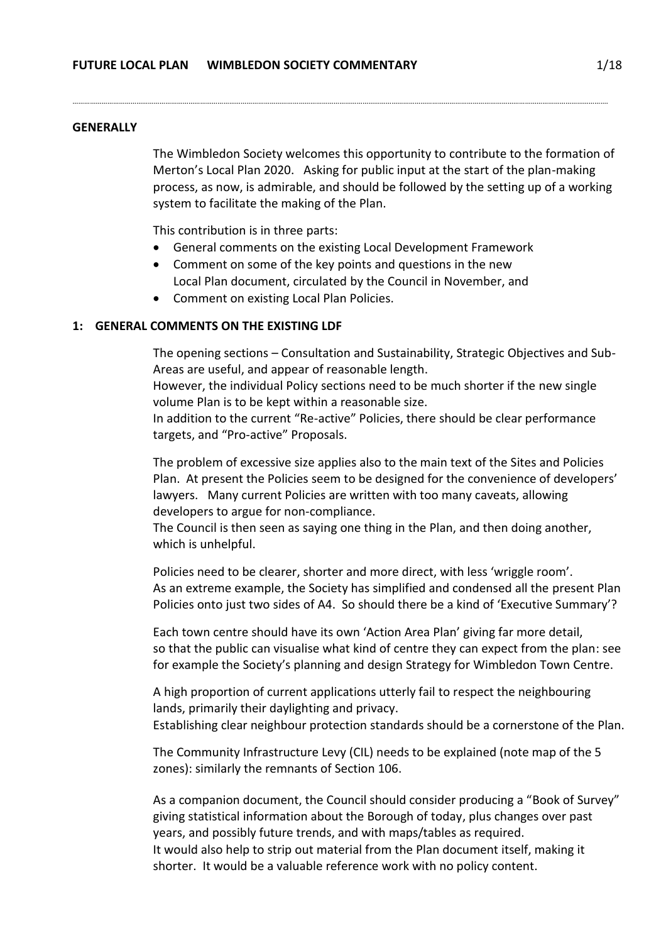#### **GENERALLY**

The Wimbledon Society welcomes this opportunity to contribute to the formation of Merton's Local Plan 2020. Asking for public input at the start of the plan-making process, as now, is admirable, and should be followed by the setting up of a working system to facilitate the making of the Plan.

This contribution is in three parts:

General comments on the existing Local Development Framework

…………………………………………………………………………………………………………………………………………………………………………………………………………………………………………………….

- Comment on some of the key points and questions in the new Local Plan document, circulated by the Council in November, and
- Comment on existing Local Plan Policies.

#### **1: GENERAL COMMENTS ON THE EXISTING LDF**

The opening sections – Consultation and Sustainability, Strategic Objectives and Sub-Areas are useful, and appear of reasonable length.

However, the individual Policy sections need to be much shorter if the new single volume Plan is to be kept within a reasonable size.

In addition to the current "Re-active" Policies, there should be clear performance targets, and "Pro-active" Proposals.

The problem of excessive size applies also to the main text of the Sites and Policies Plan. At present the Policies seem to be designed for the convenience of developers' lawyers. Many current Policies are written with too many caveats, allowing developers to argue for non-compliance.

The Council is then seen as saying one thing in the Plan, and then doing another, which is unhelpful.

Policies need to be clearer, shorter and more direct, with less 'wriggle room'. As an extreme example, the Society has simplified and condensed all the present Plan Policies onto just two sides of A4. So should there be a kind of 'Executive Summary'?

 Each town centre should have its own 'Action Area Plan' giving far more detail, so that the public can visualise what kind of centre they can expect from the plan: see for example the Society's planning and design Strategy for Wimbledon Town Centre.

A high proportion of current applications utterly fail to respect the neighbouring lands, primarily their daylighting and privacy. Establishing clear neighbour protection standards should be a cornerstone of the Plan.

The Community Infrastructure Levy (CIL) needs to be explained (note map of the 5 zones): similarly the remnants of Section 106.

As a companion document, the Council should consider producing a "Book of Survey" giving statistical information about the Borough of today, plus changes over past years, and possibly future trends, and with maps/tables as required. It would also help to strip out material from the Plan document itself, making it shorter. It would be a valuable reference work with no policy content.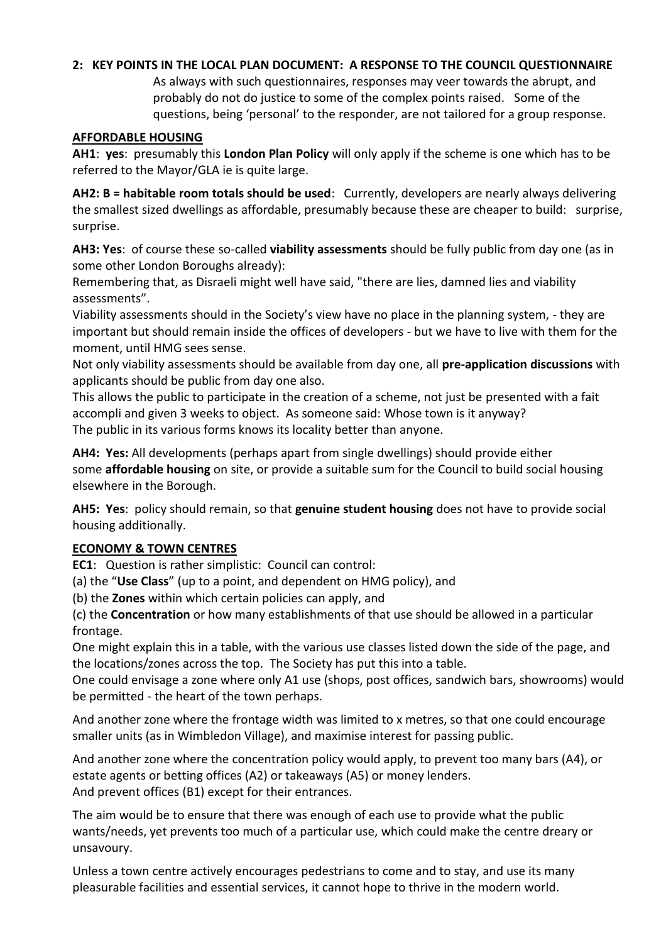# **2: KEY POINTS IN THE LOCAL PLAN DOCUMENT: A RESPONSE TO THE COUNCIL QUESTIONNAIRE**

As always with such questionnaires, responses may veer towards the abrupt, and probably do not do justice to some of the complex points raised. Some of the questions, being 'personal' to the responder, are not tailored for a group response.

#### **AFFORDABLE HOUSING**

**AH1**: **yes**: presumably this **London Plan Policy** will only apply if the scheme is one which has to be referred to the Mayor/GLA ie is quite large.

**AH2: B = habitable room totals should be used**: Currently, developers are nearly always delivering the smallest sized dwellings as affordable, presumably because these are cheaper to build: surprise, surprise.

**AH3: Yes**: of course these so-called **viability assessments** should be fully public from day one (as in some other London Boroughs already):

Remembering that, as Disraeli might well have said, "there are lies, damned lies and viability assessments".

Viability assessments should in the Society's view have no place in the planning system, - they are important but should remain inside the offices of developers - but we have to live with them for the moment, until HMG sees sense.

Not only viability assessments should be available from day one, all **pre-application discussions** with applicants should be public from day one also.

This allows the public to participate in the creation of a scheme, not just be presented with a fait accompli and given 3 weeks to object. As someone said: Whose town is it anyway? The public in its various forms knows its locality better than anyone.

**AH4: Yes:** All developments (perhaps apart from single dwellings) should provide either some **affordable housing** on site, or provide a suitable sum for the Council to build social housing elsewhere in the Borough.

**AH5: Yes**: policy should remain, so that **genuine student housing** does not have to provide social housing additionally.

### **ECONOMY & TOWN CENTRES**

**EC1**: Question is rather simplistic: Council can control:

(a) the "**Use Class**" (up to a point, and dependent on HMG policy), and

(b) the **Zones** within which certain policies can apply, and

(c) the **Concentration** or how many establishments of that use should be allowed in a particular frontage.

One might explain this in a table, with the various use classes listed down the side of the page, and the locations/zones across the top. The Society has put this into a table.

One could envisage a zone where only A1 use (shops, post offices, sandwich bars, showrooms) would be permitted - the heart of the town perhaps.

And another zone where the frontage width was limited to x metres, so that one could encourage smaller units (as in Wimbledon Village), and maximise interest for passing public.

And another zone where the concentration policy would apply, to prevent too many bars (A4), or estate agents or betting offices (A2) or takeaways (A5) or money lenders. And prevent offices (B1) except for their entrances.

The aim would be to ensure that there was enough of each use to provide what the public wants/needs, yet prevents too much of a particular use, which could make the centre dreary or unsavoury.

Unless a town centre actively encourages pedestrians to come and to stay, and use its many pleasurable facilities and essential services, it cannot hope to thrive in the modern world.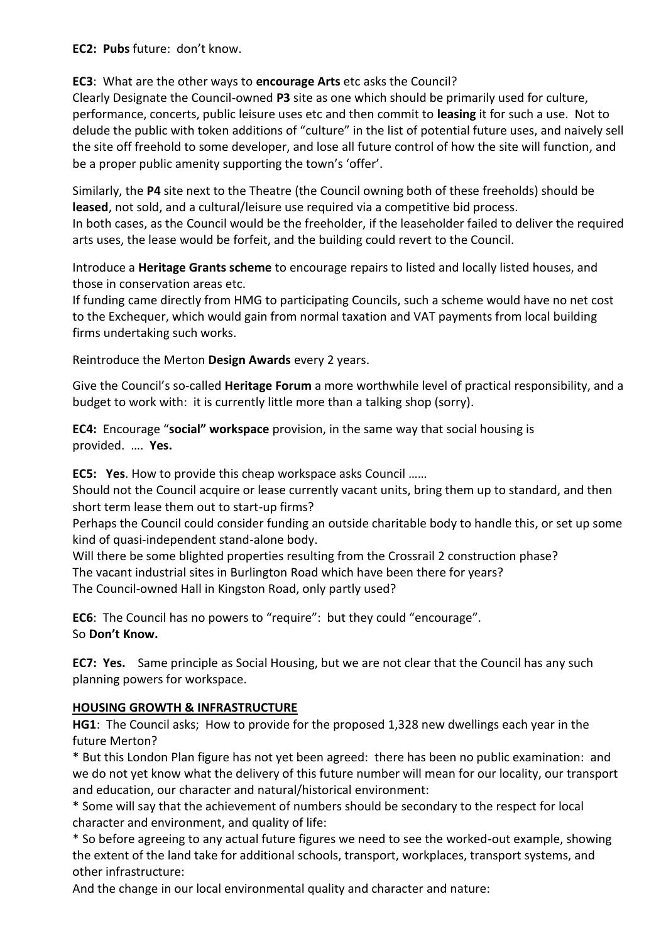# **EC2: Pubs** future: don't know.

# **EC3**: What are the other ways to **encourage Arts** etc asks the Council?

Clearly Designate the Council-owned **P3** site as one which should be primarily used for culture, performance, concerts, public leisure uses etc and then commit to **leasing** it for such a use. Not to delude the public with token additions of "culture" in the list of potential future uses, and naively sell the site off freehold to some developer, and lose all future control of how the site will function, and be a proper public amenity supporting the town's 'offer'.

Similarly, the **P4** site next to the Theatre (the Council owning both of these freeholds) should be **leased**, not sold, and a cultural/leisure use required via a competitive bid process. In both cases, as the Council would be the freeholder, if the leaseholder failed to deliver the required arts uses, the lease would be forfeit, and the building could revert to the Council.

Introduce a **Heritage Grants scheme** to encourage repairs to listed and locally listed houses, and those in conservation areas etc.

If funding came directly from HMG to participating Councils, such a scheme would have no net cost to the Exchequer, which would gain from normal taxation and VAT payments from local building firms undertaking such works.

Reintroduce the Merton **Design Awards** every 2 years.

Give the Council's so-called **Heritage Forum** a more worthwhile level of practical responsibility, and a budget to work with: it is currently little more than a talking shop (sorry).

**EC4:** Encourage "**social" workspace** provision, in the same way that social housing is provided. …. **Yes.**

**EC5: Yes**. How to provide this cheap workspace asks Council ……

Should not the Council acquire or lease currently vacant units, bring them up to standard, and then short term lease them out to start-up firms?

Perhaps the Council could consider funding an outside charitable body to handle this, or set up some kind of quasi-independent stand-alone body.

Will there be some blighted properties resulting from the Crossrail 2 construction phase? The vacant industrial sites in Burlington Road which have been there for years? The Council-owned Hall in Kingston Road, only partly used?

**EC6**: The Council has no powers to "require": but they could "encourage". So **Don't Know.**

**EC7: Yes.** Same principle as Social Housing, but we are not clear that the Council has any such planning powers for workspace.

# **HOUSING GROWTH & INFRASTRUCTURE**

**HG1**: The Council asks; How to provide for the proposed 1,328 new dwellings each year in the future Merton?

\* But this London Plan figure has not yet been agreed: there has been no public examination: and we do not yet know what the delivery of this future number will mean for our locality, our transport and education, our character and natural/historical environment:

\* Some will say that the achievement of numbers should be secondary to the respect for local character and environment, and quality of life:

\* So before agreeing to any actual future figures we need to see the worked-out example, showing the extent of the land take for additional schools, transport, workplaces, transport systems, and other infrastructure:

And the change in our local environmental quality and character and nature: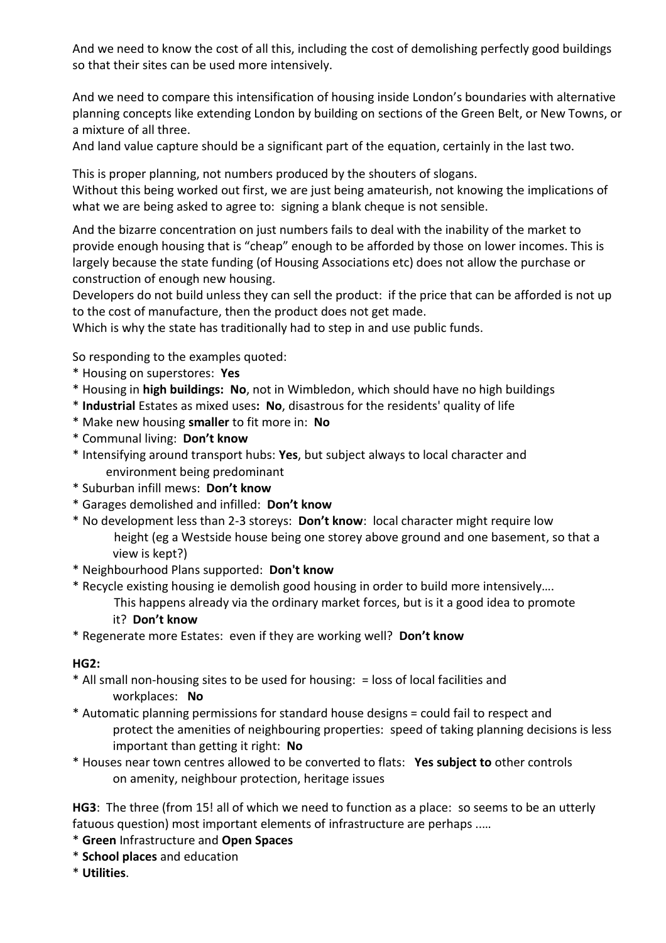And we need to know the cost of all this, including the cost of demolishing perfectly good buildings so that their sites can be used more intensively.

And we need to compare this intensification of housing inside London's boundaries with alternative planning concepts like extending London by building on sections of the Green Belt, or New Towns, or a mixture of all three.

And land value capture should be a significant part of the equation, certainly in the last two.

This is proper planning, not numbers produced by the shouters of slogans. Without this being worked out first, we are just being amateurish, not knowing the implications of what we are being asked to agree to: signing a blank cheque is not sensible.

And the bizarre concentration on just numbers fails to deal with the inability of the market to provide enough housing that is "cheap" enough to be afforded by those on lower incomes. This is largely because the state funding (of Housing Associations etc) does not allow the purchase or construction of enough new housing.

Developers do not build unless they can sell the product: if the price that can be afforded is not up to the cost of manufacture, then the product does not get made.

Which is why the state has traditionally had to step in and use public funds.

So responding to the examples quoted:

- \* Housing on superstores: **Yes**
- \* Housing in **high buildings: No**, not in Wimbledon, which should have no high buildings
- \* **Industrial** Estates as mixed uses**: No**, disastrous for the residents' quality of life
- \* Make new housing **smaller** to fit more in: **No**
- \* Communal living: **Don't know**
- \* Intensifying around transport hubs: **Yes**, but subject always to local character and environment being predominant
- \* Suburban infill mews: **Don't know**
- \* Garages demolished and infilled: **Don't know**
- \* No development less than 2-3 storeys: **Don't know**: local character might require low height (eg a Westside house being one storey above ground and one basement, so that a view is kept?)
- \* Neighbourhood Plans supported: **Don't know**
- \* Recycle existing housing ie demolish good housing in order to build more intensively….
	- This happens already via the ordinary market forces, but is it a good idea to promote it? **Don't know**
- \* Regenerate more Estates: even if they are working well? **Don't know**

# **HG2:**

- \* All small non-housing sites to be used for housing: = loss of local facilities and workplaces: **No**
- \* Automatic planning permissions for standard house designs = could fail to respect and protect the amenities of neighbouring properties: speed of taking planning decisions is less important than getting it right: **No**
- \* Houses near town centres allowed to be converted to flats: **Yes subject to** other controls on amenity, neighbour protection, heritage issues

**HG3**: The three (from 15! all of which we need to function as a place: so seems to be an utterly fatuous question) most important elements of infrastructure are perhaps ..…

- \* **Green** Infrastructure and **Open Spaces**
- \* **School places** and education
- \* **Utilities**.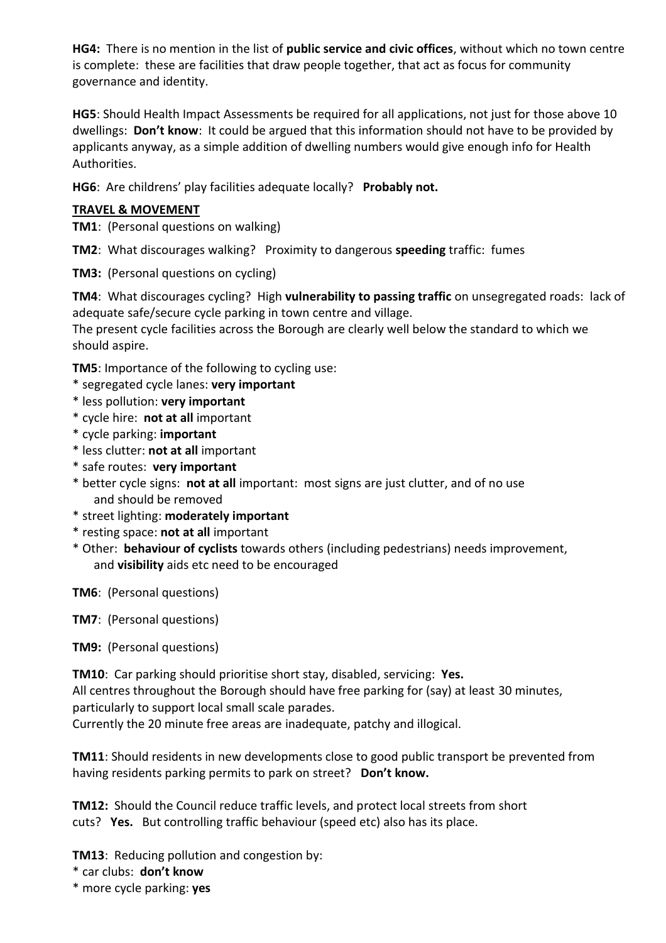**HG4:** There is no mention in the list of **public service and civic offices**, without which no town centre is complete: these are facilities that draw people together, that act as focus for community governance and identity.

**HG5**: Should Health Impact Assessments be required for all applications, not just for those above 10 dwellings: **Don't know**: It could be argued that this information should not have to be provided by applicants anyway, as a simple addition of dwelling numbers would give enough info for Health Authorities.

**HG6**: Are childrens' play facilities adequate locally? **Probably not.**

# **TRAVEL & MOVEMENT**

**TM1**: (Personal questions on walking)

**TM2**: What discourages walking? Proximity to dangerous **speeding** traffic: fumes

**TM3:** (Personal questions on cycling)

**TM4**: What discourages cycling? High **vulnerability to passing traffic** on unsegregated roads: lack of adequate safe/secure cycle parking in town centre and village.

The present cycle facilities across the Borough are clearly well below the standard to which we should aspire.

**TM5**: Importance of the following to cycling use:

- \* segregated cycle lanes: **very important**
- \* less pollution: **very important**
- \* cycle hire: **not at all** important
- \* cycle parking: **important**
- \* less clutter: **not at all** important
- \* safe routes: **very important**
- \* better cycle signs: **not at all** important: most signs are just clutter, and of no use and should be removed
- \* street lighting: **moderately important**
- \* resting space: **not at all** important
- \* Other: **behaviour of cyclists** towards others (including pedestrians) needs improvement, and **visibility** aids etc need to be encouraged

**TM6**: (Personal questions)

**TM7**: (Personal questions)

**TM9:** (Personal questions)

**TM10**: Car parking should prioritise short stay, disabled, servicing: **Yes.** All centres throughout the Borough should have free parking for (say) at least 30 minutes, particularly to support local small scale parades.

Currently the 20 minute free areas are inadequate, patchy and illogical.

**TM11**: Should residents in new developments close to good public transport be prevented from having residents parking permits to park on street? **Don't know.**

**TM12:** Should the Council reduce traffic levels, and protect local streets from short cuts? **Yes.** But controlling traffic behaviour (speed etc) also has its place.

**TM13**: Reducing pollution and congestion by:

\* car clubs: **don't know**

\* more cycle parking: **yes**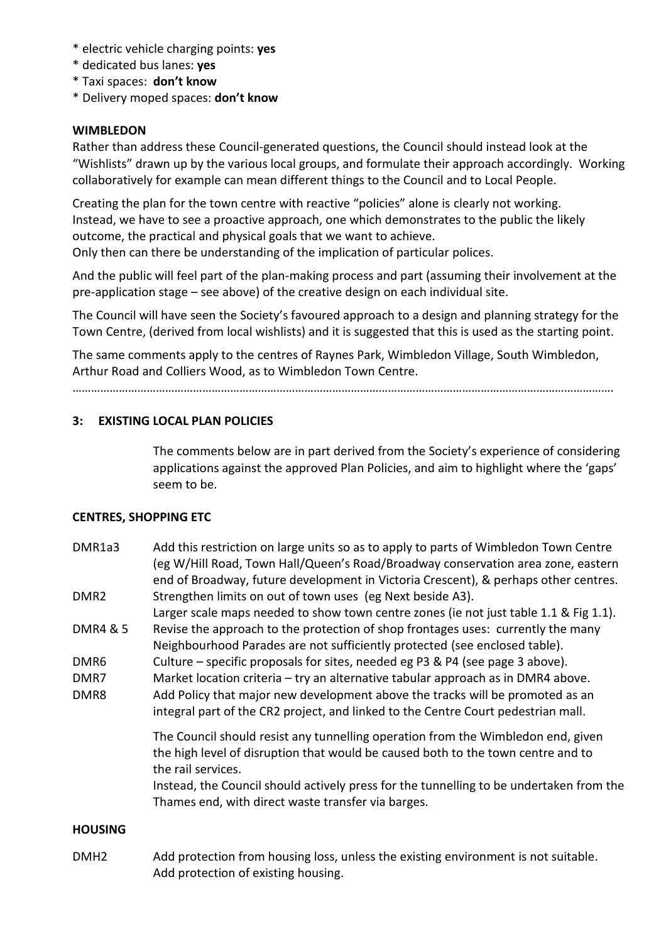- \* electric vehicle charging points: **yes**
- \* dedicated bus lanes: **yes**
- \* Taxi spaces: **don't know**
- \* Delivery moped spaces: **don't know**

### **WIMBLEDON**

Rather than address these Council-generated questions, the Council should instead look at the "Wishlists" drawn up by the various local groups, and formulate their approach accordingly. Working collaboratively for example can mean different things to the Council and to Local People.

Creating the plan for the town centre with reactive "policies" alone is clearly not working. Instead, we have to see a proactive approach, one which demonstrates to the public the likely outcome, the practical and physical goals that we want to achieve.

Only then can there be understanding of the implication of particular polices.

And the public will feel part of the plan-making process and part (assuming their involvement at the pre-application stage – see above) of the creative design on each individual site.

The Council will have seen the Society's favoured approach to a design and planning strategy for the Town Centre, (derived from local wishlists) and it is suggested that this is used as the starting point.

The same comments apply to the centres of Raynes Park, Wimbledon Village, South Wimbledon, Arthur Road and Colliers Wood, as to Wimbledon Town Centre.

………………………………………………………………………………………………………………………………………………………….

# **3: EXISTING LOCAL PLAN POLICIES**

The comments below are in part derived from the Society's experience of considering applications against the approved Plan Policies, and aim to highlight where the 'gaps' seem to be.

# **CENTRES, SHOPPING ETC**

DMR1a3 Add this restriction on large units so as to apply to parts of Wimbledon Town Centre (eg W/Hill Road, Town Hall/Queen's Road/Broadway conservation area zone, eastern end of Broadway, future development in Victoria Crescent), & perhaps other centres. DMR2 Strengthen limits on out of town uses (eg Next beside A3).

Larger scale maps needed to show town centre zones (ie not just table 1.1 & Fig 1.1). DMR4 & 5 Revise the approach to the protection of shop frontages uses: currently the many

- Neighbourhood Parades are not sufficiently protected (see enclosed table).
- DMR6 Culture specific proposals for sites, needed eg P3 & P4 (see page 3 above).
- DMR7 Market location criteria try an alternative tabular approach as in DMR4 above.
- DMR8 Add Policy that major new development above the tracks will be promoted as an integral part of the CR2 project, and linked to the Centre Court pedestrian mall.

The Council should resist any tunnelling operation from the Wimbledon end, given the high level of disruption that would be caused both to the town centre and to the rail services.

Instead, the Council should actively press for the tunnelling to be undertaken from the Thames end, with direct waste transfer via barges.

### **HOUSING**

DMH2 Add protection from housing loss, unless the existing environment is not suitable. Add protection of existing housing.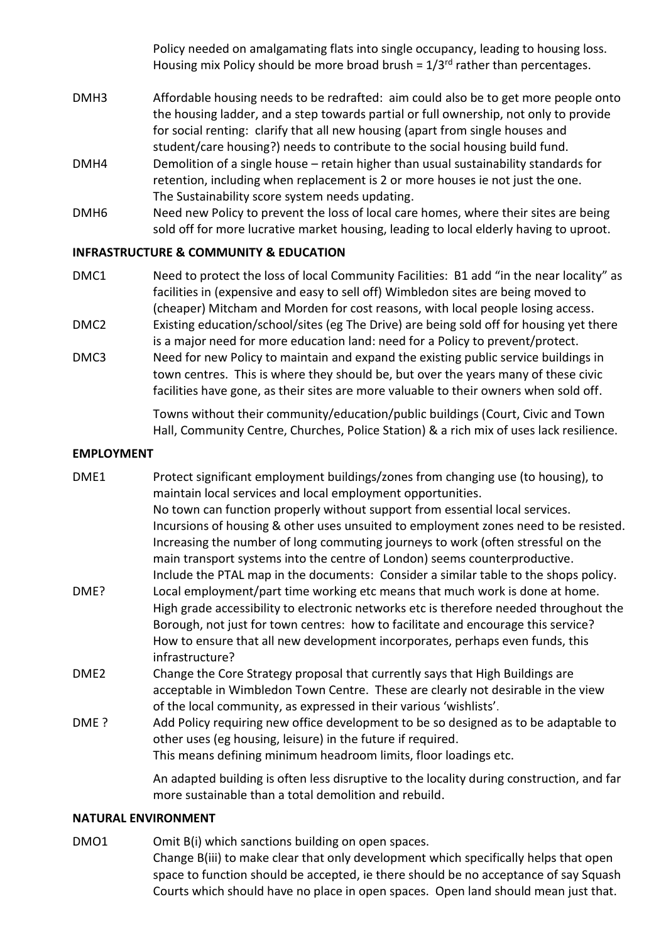Policy needed on amalgamating flats into single occupancy, leading to housing loss. Housing mix Policy should be more broad brush =  $1/3^{rd}$  rather than percentages.

- DMH3 Affordable housing needs to be redrafted: aim could also be to get more people onto the housing ladder, and a step towards partial or full ownership, not only to provide for social renting: clarify that all new housing (apart from single houses and student/care housing?) needs to contribute to the social housing build fund.
- DMH4 Demolition of a single house retain higher than usual sustainability standards for retention, including when replacement is 2 or more houses ie not just the one. The Sustainability score system needs updating.
- DMH6 Need new Policy to prevent the loss of local care homes, where their sites are being sold off for more lucrative market housing, leading to local elderly having to uproot.

### **INFRASTRUCTURE & COMMUNITY & EDUCATION**

- DMC1 Need to protect the loss of local Community Facilities: B1 add "in the near locality" as facilities in (expensive and easy to sell off) Wimbledon sites are being moved to (cheaper) Mitcham and Morden for cost reasons, with local people losing access.
- DMC2 Existing education/school/sites (eg The Drive) are being sold off for housing yet there is a major need for more education land: need for a Policy to prevent/protect.
- DMC3 Need for new Policy to maintain and expand the existing public service buildings in town centres. This is where they should be, but over the years many of these civic facilities have gone, as their sites are more valuable to their owners when sold off.

Towns without their community/education/public buildings (Court, Civic and Town Hall, Community Centre, Churches, Police Station) & a rich mix of uses lack resilience.

#### **EMPLOYMENT**

- DME1 Protect significant employment buildings/zones from changing use (to housing), to maintain local services and local employment opportunities. No town can function properly without support from essential local services. Incursions of housing & other uses unsuited to employment zones need to be resisted. Increasing the number of long commuting journeys to work (often stressful on the main transport systems into the centre of London) seems counterproductive. Include the PTAL map in the documents: Consider a similar table to the shops policy. DME? Local employment/part time working etc means that much work is done at home. High grade accessibility to electronic networks etc is therefore needed throughout the Borough, not just for town centres: how to facilitate and encourage this service? How to ensure that all new development incorporates, perhaps even funds, this infrastructure? DME2 Change the Core Strategy proposal that currently says that High Buildings are acceptable in Wimbledon Town Centre. These are clearly not desirable in the view of the local community, as expressed in their various 'wishlists'.
- DME ? Add Policy requiring new office development to be so designed as to be adaptable to other uses (eg housing, leisure) in the future if required. This means defining minimum headroom limits, floor loadings etc.

An adapted building is often less disruptive to the locality during construction, and far more sustainable than a total demolition and rebuild.

#### **NATURAL ENVIRONMENT**

DMO1 Omit B(i) which sanctions building on open spaces. Change B(iii) to make clear that only development which specifically helps that open space to function should be accepted, ie there should be no acceptance of say Squash Courts which should have no place in open spaces. Open land should mean just that.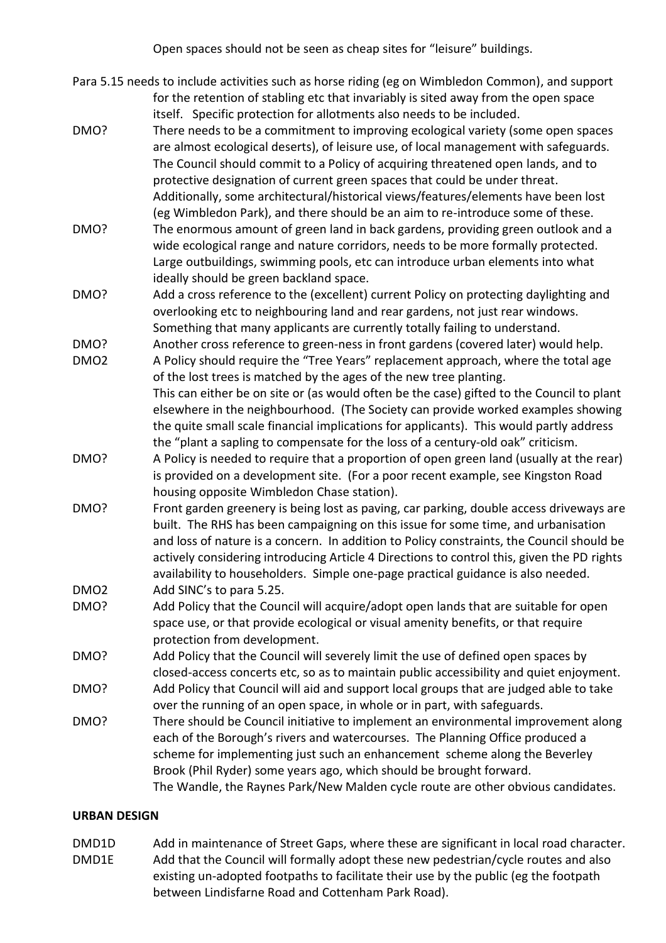Open spaces should not be seen as cheap sites for "leisure" buildings.

- Para 5.15 needs to include activities such as horse riding (eg on Wimbledon Common), and support for the retention of stabling etc that invariably is sited away from the open space itself. Specific protection for allotments also needs to be included.
- DMO? There needs to be a commitment to improving ecological variety (some open spaces are almost ecological deserts), of leisure use, of local management with safeguards. The Council should commit to a Policy of acquiring threatened open lands, and to protective designation of current green spaces that could be under threat. Additionally, some architectural/historical views/features/elements have been lost (eg Wimbledon Park), and there should be an aim to re-introduce some of these.
- DMO? The enormous amount of green land in back gardens, providing green outlook and a wide ecological range and nature corridors, needs to be more formally protected. Large outbuildings, swimming pools, etc can introduce urban elements into what ideally should be green backland space.
- DMO? Add a cross reference to the (excellent) current Policy on protecting daylighting and overlooking etc to neighbouring land and rear gardens, not just rear windows. Something that many applicants are currently totally failing to understand.
- DMO? Another cross reference to green-ness in front gardens (covered later) would help.
- DMO2 A Policy should require the "Tree Years" replacement approach, where the total age of the lost trees is matched by the ages of the new tree planting.
	- This can either be on site or (as would often be the case) gifted to the Council to plant elsewhere in the neighbourhood. (The Society can provide worked examples showing the quite small scale financial implications for applicants). This would partly address the "plant a sapling to compensate for the loss of a century-old oak" criticism.
- DMO? A Policy is needed to require that a proportion of open green land (usually at the rear) is provided on a development site. (For a poor recent example, see Kingston Road housing opposite Wimbledon Chase station).
- DMO? Front garden greenery is being lost as paving, car parking, double access driveways are built. The RHS has been campaigning on this issue for some time, and urbanisation and loss of nature is a concern. In addition to Policy constraints, the Council should be actively considering introducing Article 4 Directions to control this, given the PD rights availability to householders. Simple one-page practical guidance is also needed. DMO2 Add SINC's to para 5.25.
- DMO? Add Policy that the Council will acquire/adopt open lands that are suitable for open space use, or that provide ecological or visual amenity benefits, or that require protection from development.
- DMO? Add Policy that the Council will severely limit the use of defined open spaces by closed-access concerts etc, so as to maintain public accessibility and quiet enjoyment.
- DMO? Add Policy that Council will aid and support local groups that are judged able to take over the running of an open space, in whole or in part, with safeguards.
- DMO? There should be Council initiative to implement an environmental improvement along each of the Borough's rivers and watercourses. The Planning Office produced a scheme for implementing just such an enhancement scheme along the Beverley Brook (Phil Ryder) some years ago, which should be brought forward. The Wandle, the Raynes Park/New Malden cycle route are other obvious candidates.

# **URBAN DESIGN**

DMD1D Add in maintenance of Street Gaps, where these are significant in local road character. DMD1E Add that the Council will formally adopt these new pedestrian/cycle routes and also existing un-adopted footpaths to facilitate their use by the public (eg the footpath between Lindisfarne Road and Cottenham Park Road).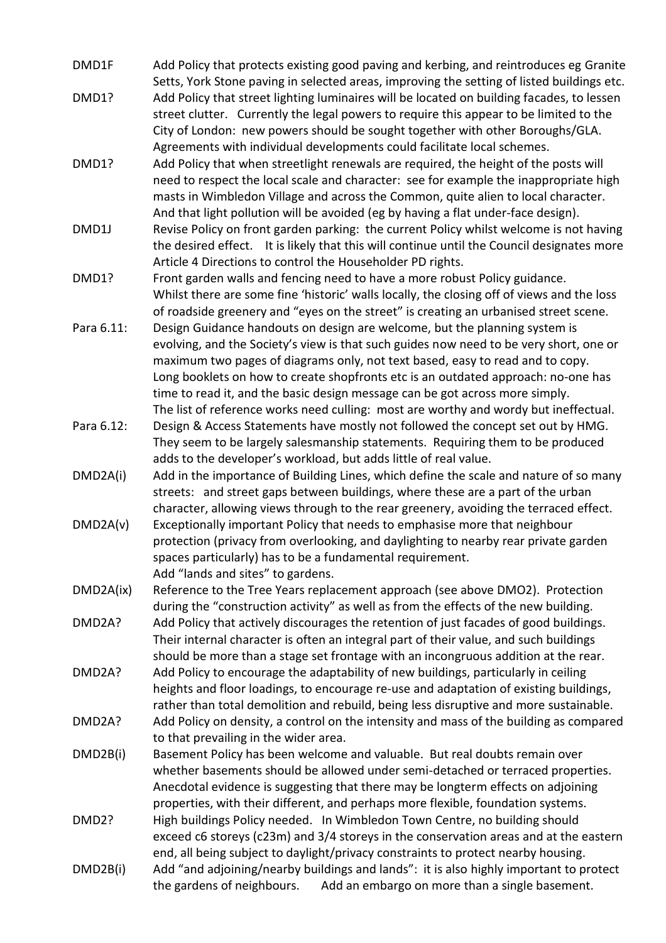- DMD1F Add Policy that protects existing good paving and kerbing, and reintroduces eg Granite Setts, York Stone paving in selected areas, improving the setting of listed buildings etc.
- DMD1? Add Policy that street lighting luminaires will be located on building facades, to lessen street clutter. Currently the legal powers to require this appear to be limited to the City of London: new powers should be sought together with other Boroughs/GLA. Agreements with individual developments could facilitate local schemes.
- DMD1? Add Policy that when streetlight renewals are required, the height of the posts will need to respect the local scale and character: see for example the inappropriate high masts in Wimbledon Village and across the Common, quite alien to local character. And that light pollution will be avoided (eg by having a flat under-face design).
- DMD1J Revise Policy on front garden parking: the current Policy whilst welcome is not having the desired effect. It is likely that this will continue until the Council designates more Article 4 Directions to control the Householder PD rights.
- DMD1? Front garden walls and fencing need to have a more robust Policy guidance. Whilst there are some fine 'historic' walls locally, the closing off of views and the loss of roadside greenery and "eyes on the street" is creating an urbanised street scene.
- Para 6.11: Design Guidance handouts on design are welcome, but the planning system is evolving, and the Society's view is that such guides now need to be very short, one or maximum two pages of diagrams only, not text based, easy to read and to copy. Long booklets on how to create shopfronts etc is an outdated approach: no-one has time to read it, and the basic design message can be got across more simply. The list of reference works need culling: most are worthy and wordy but ineffectual.
- Para 6.12: Design & Access Statements have mostly not followed the concept set out by HMG. They seem to be largely salesmanship statements. Requiring them to be produced adds to the developer's workload, but adds little of real value.
- DMD2A(i) Add in the importance of Building Lines, which define the scale and nature of so many streets: and street gaps between buildings, where these are a part of the urban character, allowing views through to the rear greenery, avoiding the terraced effect.
- DMD2A(v) Exceptionally important Policy that needs to emphasise more that neighbour protection (privacy from overlooking, and daylighting to nearby rear private garden spaces particularly) has to be a fundamental requirement. Add "lands and sites" to gardens.
- DMD2A(ix) Reference to the Tree Years replacement approach (see above DMO2). Protection during the "construction activity" as well as from the effects of the new building.
- DMD2A? Add Policy that actively discourages the retention of just facades of good buildings. Their internal character is often an integral part of their value, and such buildings should be more than a stage set frontage with an incongruous addition at the rear.
- DMD2A? Add Policy to encourage the adaptability of new buildings, particularly in ceiling heights and floor loadings, to encourage re-use and adaptation of existing buildings, rather than total demolition and rebuild, being less disruptive and more sustainable. DMD2A? Add Policy on density, a control on the intensity and mass of the building as compared to that prevailing in the wider area.
- DMD2B(i) Basement Policy has been welcome and valuable. But real doubts remain over whether basements should be allowed under semi-detached or terraced properties. Anecdotal evidence is suggesting that there may be longterm effects on adjoining properties, with their different, and perhaps more flexible, foundation systems.
- DMD2? High buildings Policy needed. In Wimbledon Town Centre, no building should exceed c6 storeys (c23m) and 3/4 storeys in the conservation areas and at the eastern end, all being subject to daylight/privacy constraints to protect nearby housing.
- DMD2B(i) Add "and adjoining/nearby buildings and lands": it is also highly important to protect the gardens of neighbours. Add an embargo on more than a single basement.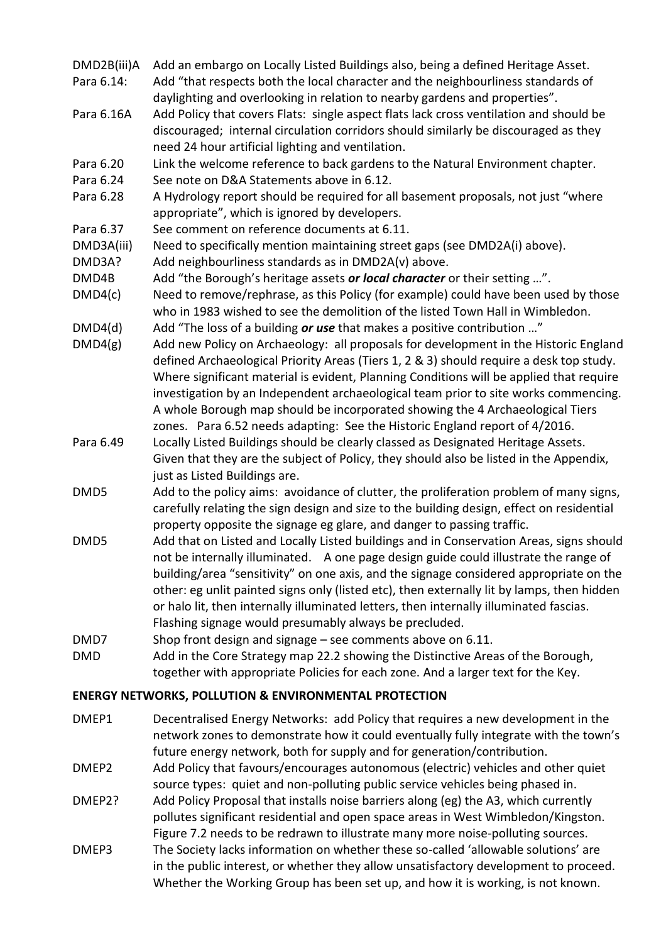- DMD2B(iii)A Add an embargo on Locally Listed Buildings also, being a defined Heritage Asset.
- Para 6.14: Add "that respects both the local character and the neighbourliness standards of daylighting and overlooking in relation to nearby gardens and properties".
- Para 6.16A Add Policy that covers Flats: single aspect flats lack cross ventilation and should be discouraged; internal circulation corridors should similarly be discouraged as they need 24 hour artificial lighting and ventilation.
- Para 6.20 Link the welcome reference to back gardens to the Natural Environment chapter.
- Para 6.24 See note on D&A Statements above in 6.12.
- Para 6.28 A Hydrology report should be required for all basement proposals, not just "where appropriate", which is ignored by developers.
- Para 6.37 See comment on reference documents at 6.11.
- DMD3A(iii) Need to specifically mention maintaining street gaps (see DMD2A(i) above).
- DMD3A? Add neighbourliness standards as in DMD2A(v) above.
- DMD4B Add "the Borough's heritage assets *or local character* or their setting …".
- DMD4(c) Need to remove/rephrase, as this Policy (for example) could have been used by those who in 1983 wished to see the demolition of the listed Town Hall in Wimbledon.
- DMD4(d) Add "The loss of a building *or use* that makes a positive contribution …"
- DMD4(g) Add new Policy on Archaeology: all proposals for development in the Historic England defined Archaeological Priority Areas (Tiers 1, 2 & 3) should require a desk top study. Where significant material is evident, Planning Conditions will be applied that require investigation by an Independent archaeological team prior to site works commencing. A whole Borough map should be incorporated showing the 4 Archaeological Tiers zones. Para 6.52 needs adapting: See the Historic England report of 4/2016.
- Para 6.49 Locally Listed Buildings should be clearly classed as Designated Heritage Assets. Given that they are the subject of Policy, they should also be listed in the Appendix, just as Listed Buildings are.
- DMD5 Add to the policy aims: avoidance of clutter, the proliferation problem of many signs, carefully relating the sign design and size to the building design, effect on residential property opposite the signage eg glare, and danger to passing traffic.
- DMD5 Add that on Listed and Locally Listed buildings and in Conservation Areas, signs should not be internally illuminated. A one page design guide could illustrate the range of building/area "sensitivity" on one axis, and the signage considered appropriate on the other: eg unlit painted signs only (listed etc), then externally lit by lamps, then hidden or halo lit, then internally illuminated letters, then internally illuminated fascias. Flashing signage would presumably always be precluded.
- DMD7 Shop front design and signage see comments above on 6.11.
- DMD Add in the Core Strategy map 22.2 showing the Distinctive Areas of the Borough, together with appropriate Policies for each zone. And a larger text for the Key.

### **ENERGY NETWORKS, POLLUTION & ENVIRONMENTAL PROTECTION**

- DMEP1 Decentralised Energy Networks: add Policy that requires a new development in the network zones to demonstrate how it could eventually fully integrate with the town's future energy network, both for supply and for generation/contribution.
- DMEP2 Add Policy that favours/encourages autonomous (electric) vehicles and other quiet source types: quiet and non-polluting public service vehicles being phased in.
- DMEP2? Add Policy Proposal that installs noise barriers along (eg) the A3, which currently pollutes significant residential and open space areas in West Wimbledon/Kingston. Figure 7.2 needs to be redrawn to illustrate many more noise-polluting sources.
- DMEP3 The Society lacks information on whether these so-called 'allowable solutions' are in the public interest, or whether they allow unsatisfactory development to proceed. Whether the Working Group has been set up, and how it is working, is not known.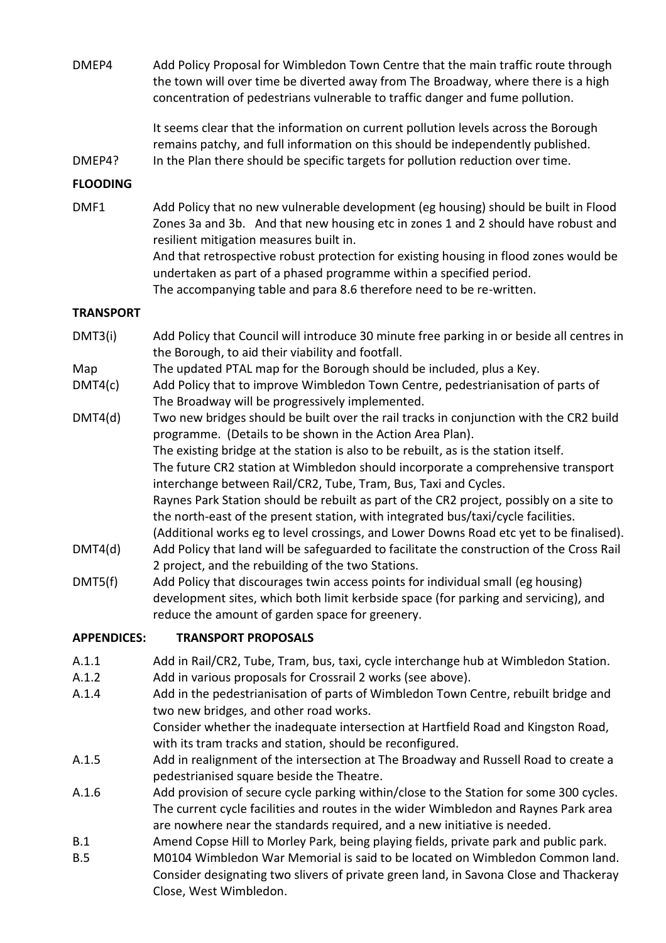DMEP4 Add Policy Proposal for Wimbledon Town Centre that the main traffic route through the town will over time be diverted away from The Broadway, where there is a high concentration of pedestrians vulnerable to traffic danger and fume pollution.

> It seems clear that the information on current pollution levels across the Borough remains patchy, and full information on this should be independently published.

DMEP4? In the Plan there should be specific targets for pollution reduction over time.

### **FLOODING**

DMF1 Add Policy that no new vulnerable development (eg housing) should be built in Flood Zones 3a and 3b. And that new housing etc in zones 1 and 2 should have robust and resilient mitigation measures built in. And that retrospective robust protection for existing housing in flood zones would be undertaken as part of a phased programme within a specified period. The accompanying table and para 8.6 therefore need to be re-written.

### **TRANSPORT**

- DMT3(i) Add Policy that Council will introduce 30 minute free parking in or beside all centres in the Borough, to aid their viability and footfall.
- Map The updated PTAL map for the Borough should be included, plus a Key.
- DMT4(c) Add Policy that to improve Wimbledon Town Centre, pedestrianisation of parts of The Broadway will be progressively implemented.
- DMT4(d) Two new bridges should be built over the rail tracks in conjunction with the CR2 build programme. (Details to be shown in the Action Area Plan). The existing bridge at the station is also to be rebuilt, as is the station itself. The future CR2 station at Wimbledon should incorporate a comprehensive transport interchange between Rail/CR2, Tube, Tram, Bus, Taxi and Cycles. Raynes Park Station should be rebuilt as part of the CR2 project, possibly on a site to the north-east of the present station, with integrated bus/taxi/cycle facilities. (Additional works eg to level crossings, and Lower Downs Road etc yet to be finalised). DMT4(d) Add Policy that land will be safeguarded to facilitate the construction of the Cross Rail 2 project, and the rebuilding of the two Stations.
- DMT5(f) Add Policy that discourages twin access points for individual small (eg housing) development sites, which both limit kerbside space (for parking and servicing), and reduce the amount of garden space for greenery.

### **APPENDICES: TRANSPORT PROPOSALS**

- A.1.1 Add in Rail/CR2, Tube, Tram, bus, taxi, cycle interchange hub at Wimbledon Station.
- A.1.2 Add in various proposals for Crossrail 2 works (see above).
- A.1.4 Add in the pedestrianisation of parts of Wimbledon Town Centre, rebuilt bridge and two new bridges, and other road works. Consider whether the inadequate intersection at Hartfield Road and Kingston Road,

with its tram tracks and station, should be reconfigured.

- A.1.5 Add in realignment of the intersection at The Broadway and Russell Road to create a pedestrianised square beside the Theatre.
- A.1.6 Add provision of secure cycle parking within/close to the Station for some 300 cycles. The current cycle facilities and routes in the wider Wimbledon and Raynes Park area are nowhere near the standards required, and a new initiative is needed.
- B.1 Amend Copse Hill to Morley Park, being playing fields, private park and public park.
- B.5 M0104 Wimbledon War Memorial is said to be located on Wimbledon Common land. Consider designating two slivers of private green land, in Savona Close and Thackeray Close, West Wimbledon.